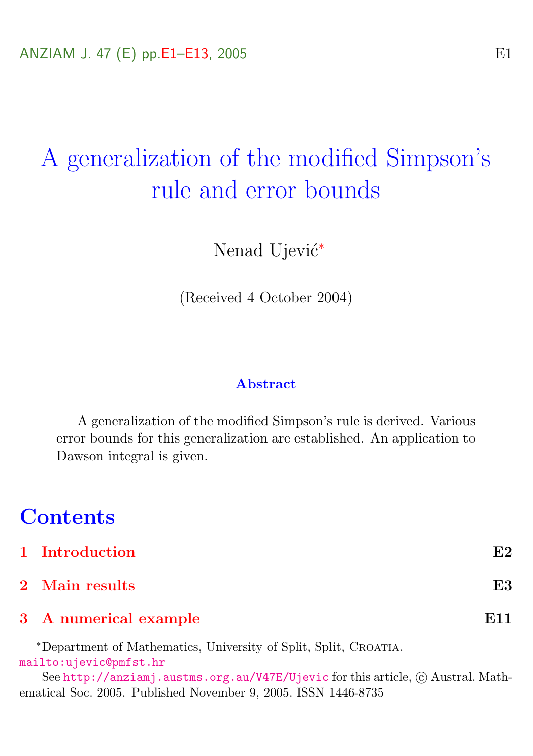# A generalization of the modified Simpson's rule and error bounds

Nenad Ujević<sup>\*</sup>

(Received 4 October 2004)

#### Abstract

A generalization of the modified Simpson's rule is derived. Various error bounds for this generalization are established. An application to Dawson integral is given.

# **Contents**

| 1 Introduction        | E2  |
|-----------------------|-----|
| 2 Main results        | E3  |
| 3 A numerical example | E11 |

<sup>∗</sup>Department of Mathematics, University of Split, Split, Croatia. <mailto:ujevic@pmfst.hr>

See <http://anziamj.austms.org.au/V47E/Ujevic> for this article,  $\odot$  Austral. Mathematical Soc. 2005. Published November 9, 2005. ISSN 1446-8735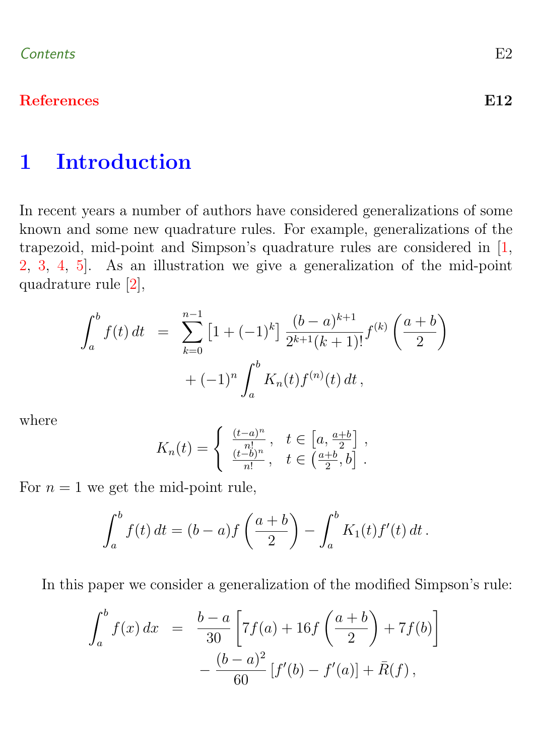## <span id="page-1-1"></span>[References](#page-11-0) E12

# <span id="page-1-0"></span>1 Introduction

In recent years a number of authors have considered generalizations of some known and some new quadrature rules. For example, generalizations of the trapezoid, mid-point and Simpson's quadrature rules are considered in [\[1,](#page-11-1) [2,](#page-11-2) [3,](#page-11-3) [4,](#page-11-4) [5\]](#page-12-0). As an illustration we give a generalization of the mid-point quadrature rule [\[2\]](#page-11-2),

$$
\int_{a}^{b} f(t) dt = \sum_{k=0}^{n-1} \left[ 1 + (-1)^{k} \right] \frac{(b-a)^{k+1}}{2^{k+1}(k+1)!} f^{(k)}\left(\frac{a+b}{2}\right) + (-1)^{n} \int_{a}^{b} K_{n}(t) f^{(n)}(t) dt,
$$

where

$$
K_n(t) = \begin{cases} \frac{(t-a)^n}{n!}, & t \in \left[a, \frac{a+b}{2}\right], \\ \frac{(t-b)^n}{n!}, & t \in \left(\frac{a+b}{2}, b\right]. \end{cases}
$$

For  $n = 1$  we get the mid-point rule,

$$
\int_{a}^{b} f(t) dt = (b-a)f\left(\frac{a+b}{2}\right) - \int_{a}^{b} K_1(t)f'(t) dt.
$$

In this paper we consider a generalization of the modified Simpson's rule:

$$
\int_{a}^{b} f(x) dx = \frac{b-a}{30} \left[ 7f(a) + 16f\left(\frac{a+b}{2}\right) + 7f(b) \right] - \frac{(b-a)^{2}}{60} \left[ f'(b) - f'(a) \right] + \bar{R}(f),
$$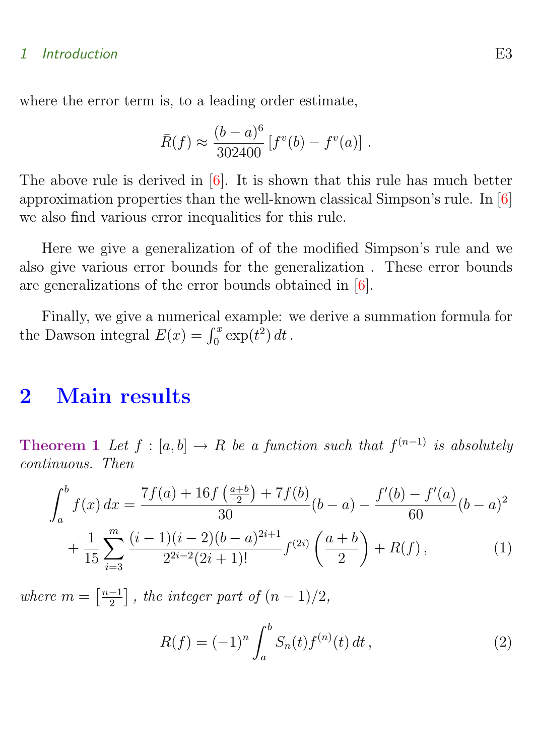#### <span id="page-2-3"></span>1 Introduction **E3**

where the error term is, to a leading order estimate,

$$
\bar{R}(f) \approx \frac{(b-a)^6}{302400} [f^v(b) - f^v(a)].
$$

The above rule is derived in  $[6]$ . It is shown that this rule has much better approximation properties than the well-known classical Simpson's rule. In [\[6\]](#page-12-1) we also find various error inequalities for this rule.

Here we give a generalization of of the modified Simpson's rule and we also give various error bounds for the generalization . These error bounds are generalizations of the error bounds obtained in [\[6\]](#page-12-1).

Finally, we give a numerical example: we derive a summation formula for the Dawson integral  $E(x) = \int_0^x \exp(t^2) dt$ .

# <span id="page-2-0"></span>2 Main results

**Theorem 1** Let  $f : [a, b] \to R$  be a function such that  $f^{(n-1)}$  is absolutely continuous. Then

<span id="page-2-1"></span>
$$
\int_{a}^{b} f(x) dx = \frac{7f(a) + 16f(\frac{a+b}{2}) + 7f(b)}{30}(b-a) - \frac{f'(b) - f'(a)}{60}(b-a)^{2} + \frac{1}{15} \sum_{i=3}^{m} \frac{(i-1)(i-2)(b-a)^{2i+1}}{2^{2i-2}(2i+1)!} f^{(2i)}\left(\frac{a+b}{2}\right) + R(f),
$$
\n(1)

where  $m = \left\lceil \frac{n-1}{2} \right\rceil$  $\left[\frac{-1}{2}\right]$ , the integer part of  $(n-1)/2$ ,

<span id="page-2-2"></span>
$$
R(f) = (-1)^n \int_a^b S_n(t) f^{(n)}(t) dt,
$$
\n(2)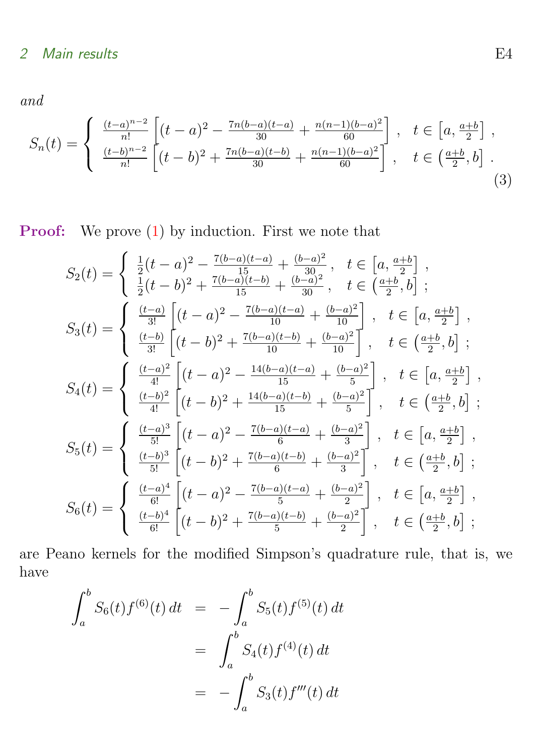and

$$
S_n(t) = \begin{cases} \frac{(t-a)^{n-2}}{n!} \left[ (t-a)^2 - \frac{7n(b-a)(t-a)}{30} + \frac{n(n-1)(b-a)^2}{60} \right], & t \in [a, \frac{a+b}{2}] \\ \frac{(t-b)^{n-2}}{n!} \left[ (t-b)^2 + \frac{7n(b-a)(t-b)}{30} + \frac{n(n-1)(b-a)^2}{60} \right], & t \in (\frac{a+b}{2}, b] \end{cases}
$$
(3)

# Proof: We prove [\(1\)](#page-2-1) by induction. First we note that

$$
S_2(t) = \begin{cases} \frac{1}{2}(t-a)^2 - \frac{7(b-a)(t-a)}{15} + \frac{(b-a)^2}{30}, & t \in [a, \frac{a+b}{2}] ,\\ \frac{1}{2}(t-b)^2 + \frac{7(b-a)(t-b)}{15} + \frac{(b-a)^2}{30}, & t \in (\frac{a+b}{2},b] ; \end{cases}
$$
  
\n
$$
S_3(t) = \begin{cases} \frac{(t-a)}{3!} \left[ (t-a)^2 - \frac{7(b-a)(t-a)}{10} + \frac{(b-a)^2}{10} \right], & t \in [a, \frac{a+b}{2}] ,\\ \frac{(t-b)}{3!} \left[ (t-b)^2 + \frac{7(b-a)(t-b)}{10} + \frac{(b-a)^2}{10} \right], & t \in (\frac{a+b}{2},b] ; \end{cases}
$$
  
\n
$$
S_4(t) = \begin{cases} \frac{(t-a)^2}{4!} \left[ (t-a)^2 - \frac{14(b-a)(t-b)}{15} + \frac{(b-a)^2}{5} \right], & t \in [a, \frac{a+b}{2}] ,\\ \frac{(t-b)^2}{4!} \left[ (t-b)^2 + \frac{14(b-a)(t-b)}{15} + \frac{(b-a)^2}{5} \right], & t \in (\frac{a+b}{2},b] ;\\ \frac{(t-b)^3}{5!} \left[ (t-a)^2 - \frac{7(b-a)(t-a)}{6} + \frac{(b-a)^2}{3} \right], & t \in [a, \frac{a+b}{2}] ,\\ \frac{(t-b)^3}{5!} \left[ (t-b)^2 + \frac{7(b-a)(t-b)}{6} + \frac{(b-a)^2}{3} \right], & t \in (\frac{a+b}{2},b] ;\\ \frac{(t-a)^4}{6!} \left[ (t-a)^2 - \frac{7(b-a)(t-a)}{5} + \frac{(b-a)^2}{2} \right], & t \in (a, \frac{a+b}{2}] ,\\ \frac{(t-b)^4}{6!} \left[ (t-b)^2 + \frac{7(b-a)(t-b)}{5} + \frac{(b-a)^2}{2} \right], & t \in (\frac{a+b}{2},b] ; \end{cases}
$$

are Peano kernels for the modified Simpson's quadrature rule, that is, we have

$$
\int_{a}^{b} S_{6}(t) f^{(6)}(t) dt = - \int_{a}^{b} S_{5}(t) f^{(5)}(t) dt
$$

$$
= \int_{a}^{b} S_{4}(t) f^{(4)}(t) dt
$$

$$
= - \int_{a}^{b} S_{3}(t) f'''(t) dt
$$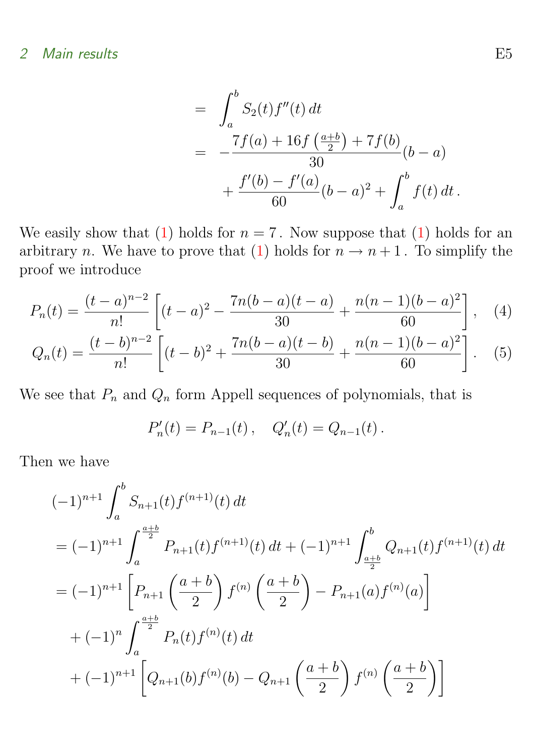$$
= \int_{a}^{b} S_{2}(t) f''(t) dt
$$
  
= 
$$
-\frac{7f(a) + 16f(\frac{a+b}{2}) + 7f(b)}{30}(b-a)
$$
  
+ 
$$
\frac{f'(b) - f'(a)}{60}(b-a)^{2} + \int_{a}^{b} f(t) dt.
$$

We easily show that [\(1\)](#page-2-1) holds for  $n = 7$ . Now suppose that (1) holds for an arbitrary n. We have to prove that [\(1\)](#page-2-1) holds for  $n \to n+1$ . To simplify the proof we introduce

$$
P_n(t) = \frac{(t-a)^{n-2}}{n!} \left[ (t-a)^2 - \frac{7n(b-a)(t-a)}{30} + \frac{n(n-1)(b-a)^2}{60} \right], \quad (4)
$$

<span id="page-4-0"></span>
$$
Q_n(t) = \frac{(t-b)^{n-2}}{n!} \left[ (t-b)^2 + \frac{7n(b-a)(t-b)}{30} + \frac{n(n-1)(b-a)^2}{60} \right].
$$
 (5)

We see that  $P_n$  and  $Q_n$  form Appell sequences of polynomials, that is

$$
P'_n(t) = P_{n-1}(t) , \quad Q'_n(t) = Q_{n-1}(t) .
$$

Then we have

$$
(-1)^{n+1} \int_{a}^{b} S_{n+1}(t) f^{(n+1)}(t) dt
$$
  
\n
$$
= (-1)^{n+1} \int_{a}^{\frac{a+b}{2}} P_{n+1}(t) f^{(n+1)}(t) dt + (-1)^{n+1} \int_{\frac{a+b}{2}}^{b} Q_{n+1}(t) f^{(n+1)}(t) dt
$$
  
\n
$$
= (-1)^{n+1} \left[ P_{n+1} \left( \frac{a+b}{2} \right) f^{(n)} \left( \frac{a+b}{2} \right) - P_{n+1}(a) f^{(n)}(a) \right]
$$
  
\n
$$
+ (-1)^{n} \int_{a}^{\frac{a+b}{2}} P_{n}(t) f^{(n)}(t) dt
$$
  
\n
$$
+ (-1)^{n+1} \left[ Q_{n+1}(b) f^{(n)}(b) - Q_{n+1} \left( \frac{a+b}{2} \right) f^{(n)} \left( \frac{a+b}{2} \right) \right]
$$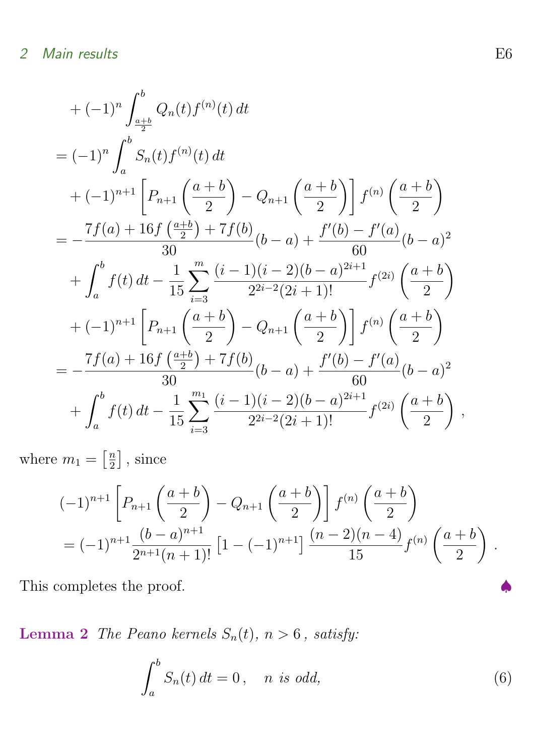$$
+ (-1)^{n} \int_{\frac{a+b}{2}}^{b} Q_{n}(t) f^{(n)}(t) dt
$$
  
\n
$$
= (-1)^{n} \int_{a}^{b} S_{n}(t) f^{(n)}(t) dt
$$
  
\n
$$
+ (-1)^{n+1} \left[ P_{n+1} \left( \frac{a+b}{2} \right) - Q_{n+1} \left( \frac{a+b}{2} \right) \right] f^{(n)} \left( \frac{a+b}{2} \right)
$$
  
\n
$$
= -\frac{7f(a) + 16f(\frac{a+b}{2}) + 7f(b)}{30} (b-a) + \frac{f'(b) - f'(a)}{60} (b-a)^{2}
$$
  
\n
$$
+ \int_{a}^{b} f(t) dt - \frac{1}{15} \sum_{i=3}^{m} \frac{(i-1)(i-2)(b-a)^{2i+1}}{2^{2i-2}(2i+1)!} f^{(2i)} \left( \frac{a+b}{2} \right)
$$
  
\n
$$
+ (-1)^{n+1} \left[ P_{n+1} \left( \frac{a+b}{2} \right) - Q_{n+1} \left( \frac{a+b}{2} \right) \right] f^{(n)} \left( \frac{a+b}{2} \right)
$$
  
\n
$$
= -\frac{7f(a) + 16f(\frac{a+b}{2}) + 7f(b)}{30} (b-a) + \frac{f'(b) - f'(a)}{60} (b-a)^{2}
$$
  
\n
$$
+ \int_{a}^{b} f(t) dt - \frac{1}{15} \sum_{i=3}^{m_1} \frac{(i-1)(i-2)(b-a)^{2i+1}}{2^{2i-2}(2i+1)!} f^{(2i)} \left( \frac{a+b}{2} \right),
$$

where  $m_1 = \left\lceil \frac{n}{2} \right\rceil$  $\frac{n}{2}$ , since

$$
(-1)^{n+1} \left[ P_{n+1} \left( \frac{a+b}{2} \right) - Q_{n+1} \left( \frac{a+b}{2} \right) \right] f^{(n)} \left( \frac{a+b}{2} \right)
$$
  
=  $(-1)^{n+1} \frac{(b-a)^{n+1}}{2^{n+1}(n+1)!} \left[ 1 - (-1)^{n+1} \right] \frac{(n-2)(n-4)}{15} f^{(n)} \left( \frac{a+b}{2} \right).$ 

This completes the proof.

Lemma 2 The Peano kernels  $S_n(t)$ ,  $n > 6$ , satisfy:

<span id="page-5-0"></span>
$$
\int_{a}^{b} S_n(t) dt = 0, \quad n \text{ is odd}, \tag{6}
$$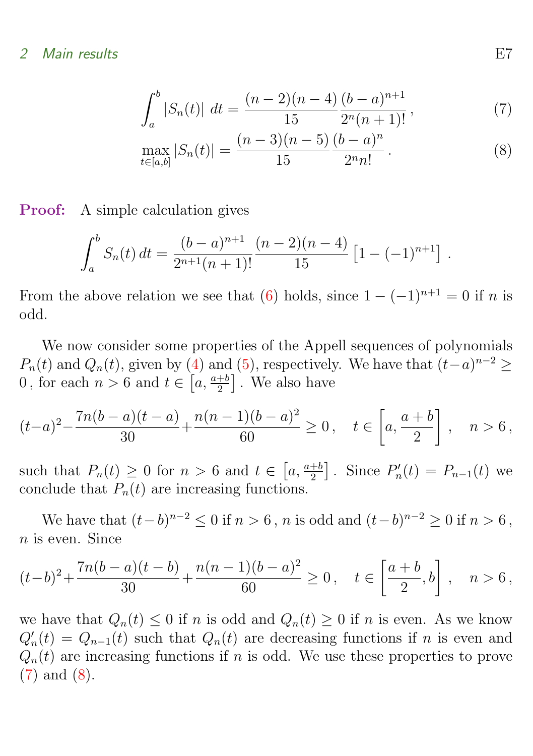$$
\int_{a}^{b} |S_n(t)| dt = \frac{(n-2)(n-4)}{15} \frac{(b-a)^{n+1}}{2^n(n+1)!},
$$
\n(7)

$$
\max_{t \in [a,b]} |S_n(t)| = \frac{(n-3)(n-5)}{15} \frac{(b-a)^n}{2^n n!}.
$$
 (8)

**Proof:** A simple calculation gives

$$
\int_a^b S_n(t) dt = \frac{(b-a)^{n+1}}{2^{n+1}(n+1)!} \frac{(n-2)(n-4)}{15} \left[1 - (-1)^{n+1}\right].
$$

From the above relation we see that [\(6\)](#page-5-0) holds, since  $1 - (-1)^{n+1} = 0$  if n is odd.

We now consider some properties of the Appell sequences of polynomials  $P_n(t)$  and  $Q_n(t)$ , given by [\(4\)](#page-4-0) and [\(5\)](#page-4-0), respectively. We have that  $(t-a)^{n-2} \ge$ 0, for each  $n > 6$  and  $t \in \left[a, \frac{a+b}{2}\right]$ . We also have

$$
(t-a)^2 - \frac{7n(b-a)(t-a)}{30} + \frac{n(n-1)(b-a)^2}{60} \ge 0, \quad t \in \left[a, \frac{a+b}{2}\right], \quad n > 6,
$$

such that  $P_n(t) \geq 0$  for  $n > 6$  and  $t \in [a, \frac{a+b}{2}]$ . Since  $P'_n(t) = P_{n-1}(t)$  we conclude that  $P_n(t)$  are increasing functions.

We have that  $(t - b)^{n-2} \le 0$  if  $n > 6$ , n is odd and  $(t - b)^{n-2} \ge 0$  if  $n > 6$ , n is even. Since

$$
(t-b)^2 + \frac{7n(b-a)(t-b)}{30} + \frac{n(n-1)(b-a)^2}{60} \ge 0, \quad t \in \left[\frac{a+b}{2}, b\right], \quad n > 6,
$$

we have that  $Q_n(t) \leq 0$  if n is odd and  $Q_n(t) \geq 0$  if n is even. As we know  $Q'_n(t) = Q_{n-1}(t)$  such that  $Q_n(t)$  are decreasing functions if n is even and  $Q_n(t)$  are increasing functions if n is odd. We use these properties to prove [\(7\)](#page-5-0) and [\(8\)](#page-5-0).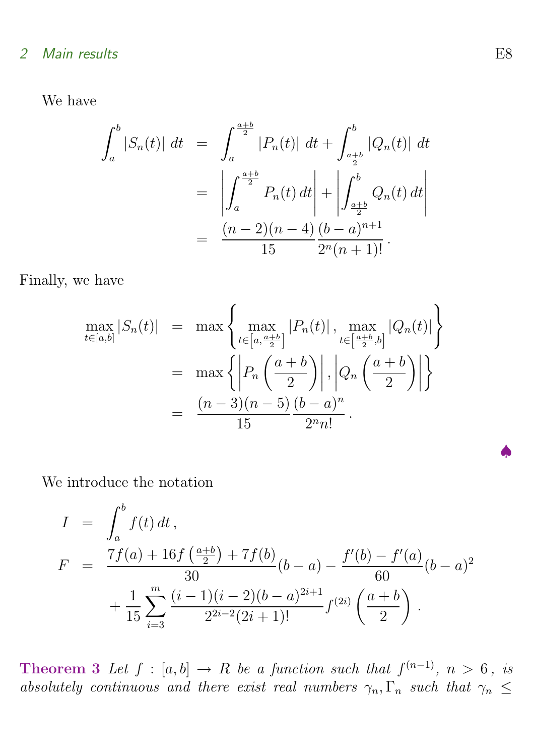We have

$$
\int_{a}^{b} |S_n(t)| dt = \int_{a}^{\frac{a+b}{2}} |P_n(t)| dt + \int_{\frac{a+b}{2}}^{b} |Q_n(t)| dt
$$
  

$$
= \left| \int_{a}^{\frac{a+b}{2}} P_n(t) dt \right| + \left| \int_{\frac{a+b}{2}}^{b} Q_n(t) dt \right|
$$
  

$$
= \frac{(n-2)(n-4)}{15} \frac{(b-a)^{n+1}}{2^n (n+1)!}.
$$

Finally, we have

$$
\max_{t \in [a,b]} |S_n(t)| = \max \left\{ \max_{t \in \left[a, \frac{a+b}{2}\right]} |P_n(t)|, \max_{t \in \left[\frac{a+b}{2}, b\right]} |Q_n(t)| \right\}
$$

$$
= \max \left\{ \left| P_n\left(\frac{a+b}{2}\right) \right|, \left| Q_n\left(\frac{a+b}{2}\right) \right| \right\}
$$

$$
= \frac{(n-3)(n-5)}{15} \frac{(b-a)^n}{2^n n!}.
$$

We introduce the notation

$$
I = \int_{a}^{b} f(t) dt,
$$
  
\n
$$
F = \frac{7f(a) + 16f(\frac{a+b}{2}) + 7f(b)}{30}(b-a) - \frac{f'(b) - f'(a)}{60}(b-a)^{2}
$$
  
\n
$$
+ \frac{1}{15} \sum_{i=3}^{m} \frac{(i-1)(i-2)(b-a)^{2i+1}}{2^{2i-2}(2i+1)!} f^{(2i)}(\frac{a+b}{2}).
$$

**Theorem 3** Let  $f : [a, b] \rightarrow R$  be a function such that  $f^{(n-1)}$ ,  $n > 6$ , is absolutely continuous and there exist real numbers  $\gamma_n, \Gamma_n$  such that  $\gamma_n \leq$ 

♠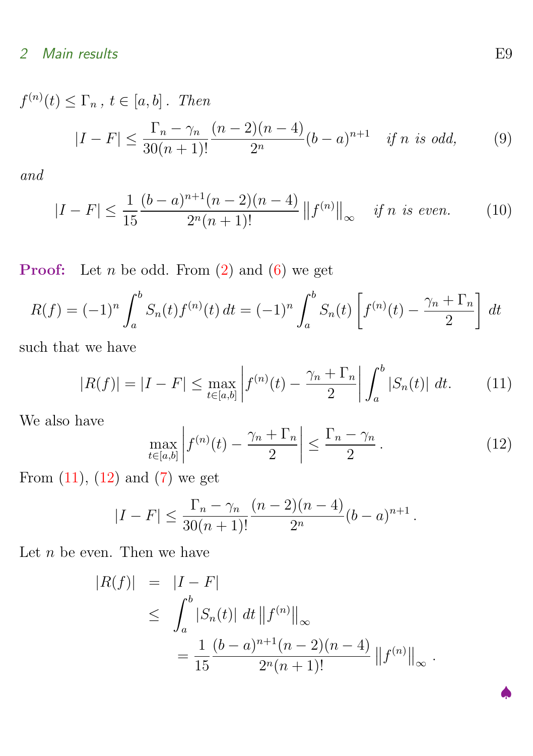$f^{(n)}(t) \leq \Gamma_n$ ,  $t \in [a, b]$ . Then  $|I - F| \leq \frac{\Gamma_n - \gamma_n}{20(1 - 1)^n}$  $30(n + 1)!$  $(n-2)(n-4)$  $\frac{f'(h^{n-1})}{2^n}(b-a)^{n+1}$  if n is odd, (9)

<span id="page-8-3"></span>and

<span id="page-8-2"></span>
$$
|I - F| \le \frac{1}{15} \frac{(b - a)^{n+1} (n-2)(n-4)}{2^n (n+1)!} ||f^{(n)}||_{\infty} \quad \text{if } n \text{ is even.} \tag{10}
$$

**Proof:** Let  $n$  be odd. From  $(2)$  and  $(6)$  we get

$$
R(f) = (-1)^n \int_a^b S_n(t) f^{(n)}(t) dt = (-1)^n \int_a^b S_n(t) \left[ f^{(n)}(t) - \frac{\gamma_n + \Gamma_n}{2} \right] dt
$$

such that we have

<span id="page-8-0"></span>
$$
|R(f)| = |I - F| \le \max_{t \in [a,b]} \left| f^{(n)}(t) - \frac{\gamma_n + \Gamma_n}{2} \right| \int_a^b |S_n(t)| \, dt. \tag{11}
$$

We also have

<span id="page-8-1"></span>
$$
\max_{t \in [a,b]} \left| f^{(n)}(t) - \frac{\gamma_n + \Gamma_n}{2} \right| \le \frac{\Gamma_n - \gamma_n}{2} \,. \tag{12}
$$

From  $(11)$ ,  $(12)$  and  $(7)$  we get

$$
|I - F| \le \frac{\Gamma_n - \gamma_n}{30(n+1)!} \frac{(n-2)(n-4)}{2^n} (b-a)^{n+1}.
$$

Let  $n$  be even. Then we have

$$
|R(f)| = |I - F|
$$
  
\n
$$
\leq \int_a^b |S_n(t)| dt ||f^{(n)}||_{\infty}
$$
  
\n
$$
= \frac{1}{15} \frac{(b-a)^{n+1}(n-2)(n-4)}{2^n(n+1)!} ||f^{(n)}||_{\infty}.
$$

♠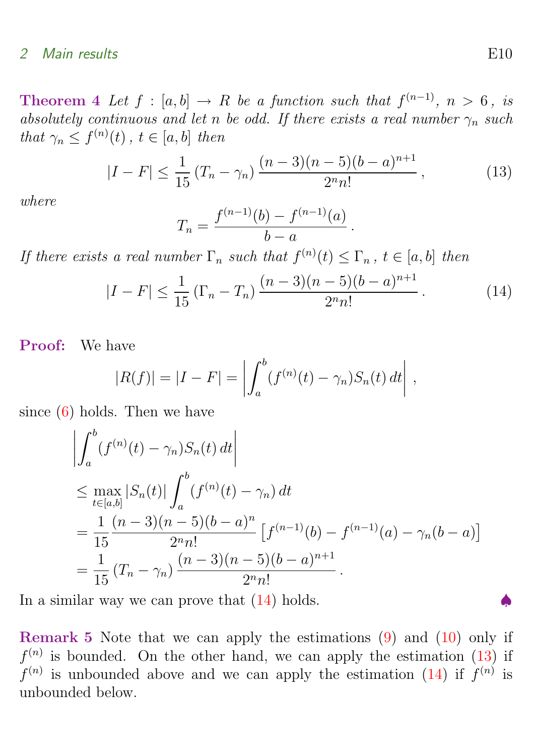**Theorem 4** Let  $f : [a, b] \rightarrow R$  be a function such that  $f^{(n-1)}$ ,  $n > 6$ , is absolutely continuous and let n be odd. If there exists a real number  $\gamma_n$  such that  $\gamma_n \leq f^{(n)}(t)$ ,  $t \in [a, b]$  then

$$
|I - F| \le \frac{1}{15} \left( T_n - \gamma_n \right) \frac{(n-3)(n-5)(b-a)^{n+1}}{2^n n!}, \tag{13}
$$

where

<span id="page-9-1"></span><span id="page-9-0"></span>
$$
T_n = \frac{f^{(n-1)}(b) - f^{(n-1)}(a)}{b - a}.
$$

If there exists a real number  $\Gamma_n$  such that  $f^{(n)}(t) \leq \Gamma_n$ ,  $t \in [a, b]$  then

$$
|I - F| \le \frac{1}{15} \left(\Gamma_n - T_n\right) \frac{(n-3)(n-5)(b-a)^{n+1}}{2^n n!} \,. \tag{14}
$$

Proof: We have

$$
|R(f)| = |I - F| = \left| \int_a^b (f^{(n)}(t) - \gamma_n) S_n(t) dt \right|,
$$

since  $(6)$  holds. Then we have

$$
\left| \int_{a}^{b} (f^{(n)}(t) - \gamma_{n}) S_{n}(t) dt \right|
$$
\n
$$
\leq \max_{t \in [a,b]} |S_{n}(t)| \int_{a}^{b} (f^{(n)}(t) - \gamma_{n}) dt
$$
\n
$$
= \frac{1}{15} \frac{(n-3)(n-5)(b-a)^{n}}{2^{n}n!} \left[ f^{(n-1)}(b) - f^{(n-1)}(a) - \gamma_{n}(b-a) \right]
$$
\n
$$
= \frac{1}{15} (T_{n} - \gamma_{n}) \frac{(n-3)(n-5)(b-a)^{n+1}}{2^{n}n!}.
$$

In a similar way we can prove that  $(14)$  holds.

Remark 5 Note that we can apply the estimations [\(9\)](#page-8-2) and [\(10\)](#page-8-3) only if  $f^{(n)}$  is bounded. On the other hand, we can apply the estimation [\(13\)](#page-9-1) if  $f^{(n)}$  is unbounded above and we can apply the estimation [\(14\)](#page-9-0) if  $f^{(n)}$  is unbounded below.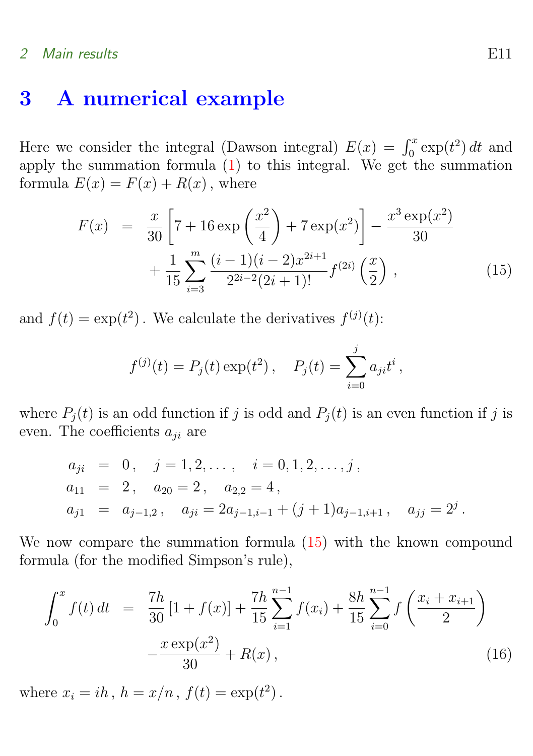# <span id="page-10-0"></span>3 A numerical example

Here we consider the integral (Dawson integral)  $E(x) = \int_0^x \exp(t^2) dt$  and apply the summation formula  $(1)$  to this integral. We get the summation formula  $E(x) = F(x) + R(x)$ , where

<span id="page-10-1"></span>
$$
F(x) = \frac{x}{30} \left[ 7 + 16 \exp\left(\frac{x^2}{4}\right) + 7 \exp(x^2) \right] - \frac{x^3 \exp(x^2)}{30} + \frac{1}{15} \sum_{i=3}^{m} \frac{(i-1)(i-2)x^{2i+1}}{2^{2i-2}(2i+1)!} f^{(2i)}\left(\frac{x}{2}\right),
$$
 (15)

and  $f(t) = \exp(t^2)$ . We calculate the derivatives  $f^{(j)}(t)$ :

$$
f^{(j)}(t) = P_j(t) \exp(t^2), \quad P_j(t) = \sum_{i=0}^j a_{ji} t^i,
$$

where  $P_i(t)$  is an odd function if j is odd and  $P_i(t)$  is an even function if j is even. The coefficients  $a_{ji}$  are

$$
a_{ji} = 0, \quad j = 1, 2, ..., \quad i = 0, 1, 2, ..., j,
$$
  
\n
$$
a_{11} = 2, \quad a_{20} = 2, \quad a_{2,2} = 4,
$$
  
\n
$$
a_{j1} = a_{j-1,2}, \quad a_{ji} = 2a_{j-1,i-1} + (j+1)a_{j-1,i+1}, \quad a_{jj} = 2^j.
$$

We now compare the summation formula [\(15\)](#page-10-1) with the known compound formula (for the modified Simpson's rule),

<span id="page-10-2"></span>
$$
\int_0^x f(t) dt = \frac{7h}{30} [1 + f(x)] + \frac{7h}{15} \sum_{i=1}^{n-1} f(x_i) + \frac{8h}{15} \sum_{i=0}^{n-1} f\left(\frac{x_i + x_{i+1}}{2}\right) - \frac{x \exp(x^2)}{30} + R(x), \tag{16}
$$

where  $x_i = ih, h = x/n, f(t) = \exp(t^2)$ .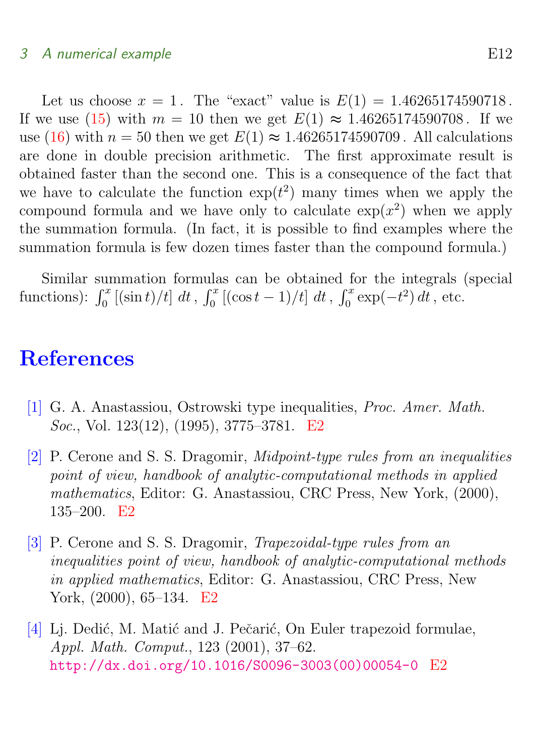# 3 A numerical example E12

Let us choose  $x = 1$ . The "exact" value is  $E(1) = 1.46265174590718$ . If we use [\(15\)](#page-10-1) with  $m = 10$  then we get  $E(1) \approx 1.46265174590708$ . If we use [\(16\)](#page-10-2) with  $n = 50$  then we get  $E(1) \approx 1.46265174590709$ . All calculations are done in double precision arithmetic. The first approximate result is obtained faster than the second one. This is a consequence of the fact that we have to calculate the function  $\exp(t^2)$  many times when we apply the compound formula and we have only to calculate  $\exp(x^2)$  when we apply the summation formula. (In fact, it is possible to find examples where the summation formula is few dozen times faster than the compound formula.)

Similar summation formulas can be obtained for the integrals (special functions):  $\int_0^x [(\sin t)/t] dt$ ,  $\int_0^x [(\cos t - 1)/t] dt$ ,  $\int_0^x \exp(-t^2) dt$ , etc.

# **References**

- <span id="page-11-1"></span><span id="page-11-0"></span>[1] G. A. Anastassiou, Ostrowski type inequalities, Proc. Amer. Math. Soc., Vol. 123(12), (1995), 3775–3781. [E2](#page-1-1)
- <span id="page-11-2"></span>[2] P. Cerone and S. S. Dragomir, Midpoint-type rules from an inequalities point of view, handbook of analytic-computational methods in applied mathematics, Editor: G. Anastassiou, CRC Press, New York, (2000), 135–200. [E2](#page-1-1)
- <span id="page-11-3"></span>[3] P. Cerone and S. S. Dragomir, Trapezoidal-type rules from an inequalities point of view, handbook of analytic-computational methods in applied mathematics, Editor: G. Anastassiou, CRC Press, New York, (2000), 65–134. [E2](#page-1-1)
- <span id="page-11-4"></span>[4] Li. Dedić, M. Matić and J. Pečarić, On Euler trapezoid formulae, Appl. Math. Comput., 123 (2001), 37–62. [http://dx.doi.org/10.1016/S0096-3003\(00\)00054-0](http://dx.doi.org/10.1016/S0096-3003(00)00054-0) [E2](#page-1-1)